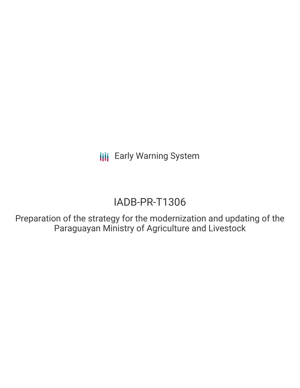**III** Early Warning System

# IADB-PR-T1306

Preparation of the strategy for the modernization and updating of the Paraguayan Ministry of Agriculture and Livestock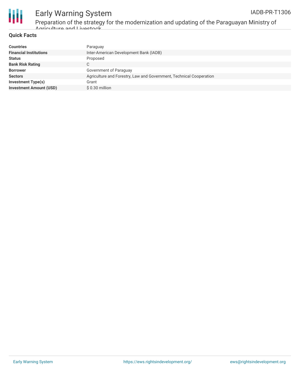

## Early Warning System

Preparation of the strategy for the modernization and updating of the Paraguayan Ministry of Agriculture and Livestock

#### **Quick Facts**

| <b>Countries</b>               | Paraguay                                                            |
|--------------------------------|---------------------------------------------------------------------|
| <b>Financial Institutions</b>  | Inter-American Development Bank (IADB)                              |
| <b>Status</b>                  | Proposed                                                            |
| <b>Bank Risk Rating</b>        | $\sim$<br>U                                                         |
| <b>Borrower</b>                | Government of Paraguay                                              |
| <b>Sectors</b>                 | Agriculture and Forestry, Law and Government, Technical Cooperation |
| Investment Type(s)             | Grant                                                               |
| <b>Investment Amount (USD)</b> | $$0.30$ million                                                     |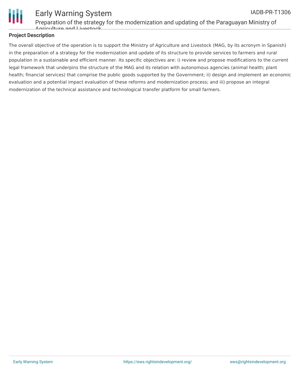

#### Early Warning System Preparation of the strategy for the modernization and updating of the Paraguayan Ministry of Agriculture and Livestock IADB-PR-T1306

### **Project Description**

The overall objective of the operation is to support the Ministry of Agriculture and Livestock (MAG, by its acronym in Spanish) in the preparation of a strategy for the modernization and update of its structure to provide services to farmers and rural population in a sustainable and efficient manner. Its specific objectives are: i) review and propose modifications to the current legal framework that underpins the structure of the MAG and its relation with autonomous agencies (animal health; plant health; financial services) that comprise the public goods supported by the Government; ii) design and implement an economic evaluation and a potential impact evaluation of these reforms and modernization process; and iii) propose an integral modernization of the technical assistance and technological transfer platform for small farmers.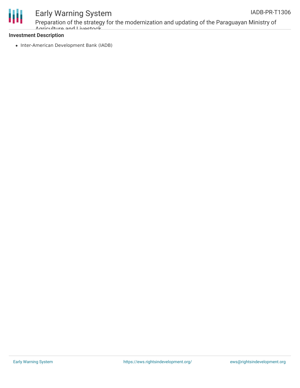

### Early Warning System

Preparation of the strategy for the modernization and updating of the Paraguayan Ministry of Agriculture and Livestock

#### **Investment Description**

• Inter-American Development Bank (IADB)